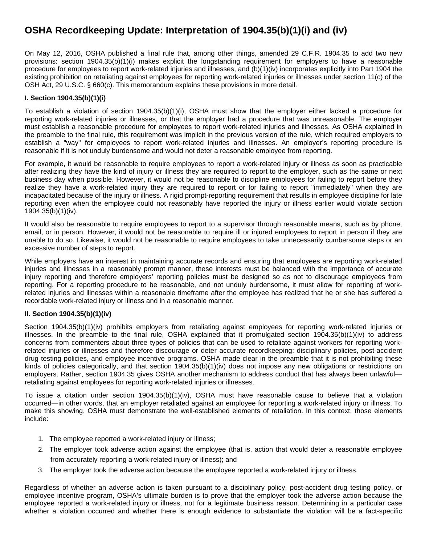# **OSHA Recordkeeping Update: Interpretation of 1904.35(b)(1)(i) and (iv)**

On May 12, 2016, OSHA published a final rule that, among other things, amended 29 C.F.R. 1904.35 to add two new provisions: section 1904.35(b)(1)(i) makes explicit the longstanding requirement for employers to have a reasonable procedure for employees to report work-related injuries and illnesses, and (b)(1)(iv) incorporates explicitly into Part 1904 the existing prohibition on retaliating against employees for reporting work-related injuries or illnesses under section 11(c) of the OSH Act, 29 U.S.C. § 660(c). This memorandum explains these provisions in more detail.

## **I. Section 1904.35(b)(1)(i)**

To establish a violation of section 1904.35(b)(1)(i), OSHA must show that the employer either lacked a procedure for reporting work-related injuries or illnesses, or that the employer had a procedure that was unreasonable. The employer must establish a reasonable procedure for employees to report work-related injuries and illnesses. As OSHA explained in the preamble to the final rule, this requirement was implicit in the previous version of the rule, which required employers to establish a "way" for employees to report work-related injuries and illnesses. An employer's reporting procedure is reasonable if it is not unduly burdensome and would not deter a reasonable employee from reporting.

For example, it would be reasonable to require employees to report a work-related injury or illness as soon as practicable after realizing they have the kind of injury or illness they are required to report to the employer, such as the same or next business day when possible. However, it would not be reasonable to discipline employees for failing to report before they realize they have a work-related injury they are required to report or for failing to report "immediately" when they are incapacitated because of the injury or illness. A rigid prompt-reporting requirement that results in employee discipline for late reporting even when the employee could not reasonably have reported the injury or illness earlier would violate section 1904.35(b)(1)(iv).

It would also be reasonable to require employees to report to a supervisor through reasonable means, such as by phone, email, or in person. However, it would not be reasonable to require ill or injured employees to report in person if they are unable to do so. Likewise, it would not be reasonable to require employees to take unnecessarily cumbersome steps or an excessive number of steps to report.

While employers have an interest in maintaining accurate records and ensuring that employees are reporting work-related injuries and illnesses in a reasonably prompt manner, these interests must be balanced with the importance of accurate injury reporting and therefore employers' reporting policies must be designed so as not to discourage employees from reporting. For a reporting procedure to be reasonable, and not unduly burdensome, it must allow for reporting of workrelated injuries and illnesses within a reasonable timeframe after the employee has realized that he or she has suffered a recordable work-related injury or illness and in a reasonable manner.

## **II. Section 1904.35(b)(1)(iv)**

Section 1904.35(b)(1)(iv) prohibits employers from retaliating against employees for reporting work-related injuries or illnesses. In the preamble to the final rule, OSHA explained that it promulgated section  $1904.35(b)(1)(iv)$  to address concerns from commenters about three types of policies that can be used to retaliate against workers for reporting workrelated injuries or illnesses and therefore discourage or deter accurate recordkeeping: disciplinary policies, post-accident drug testing policies, and employee incentive programs. OSHA made clear in the preamble that it is not prohibiting these kinds of policies categorically, and that section 1904.35(b)(1)(iv) does not impose any new obligations or restrictions on employers. Rather, section 1904.35 gives OSHA another mechanism to address conduct that has always been unlawful retaliating against employees for reporting work-related injuries or illnesses.

To issue a citation under section 1904.35(b)(1)(iv), OSHA must have reasonable cause to believe that a violation occurred—in other words, that an employer retaliated against an employee for reporting a work-related injury or illness. To make this showing, OSHA must demonstrate the well-established elements of retaliation. In this context, those elements include:

- 1. The employee reported a work-related injury or illness;
- 2. The employer took adverse action against the employee (that is, action that would deter a reasonable employee from accurately reporting a work-related injury or illness); and
- 3. The employer took the adverse action because the employee reported a work-related injury or illness.

Regardless of whether an adverse action is taken pursuant to a disciplinary policy, post-accident drug testing policy, or employee incentive program, OSHA's ultimate burden is to prove that the employer took the adverse action because the employee reported a work-related injury or illness, not for a legitimate business reason. Determining in a particular case whether a violation occurred and whether there is enough evidence to substantiate the violation will be a fact-specific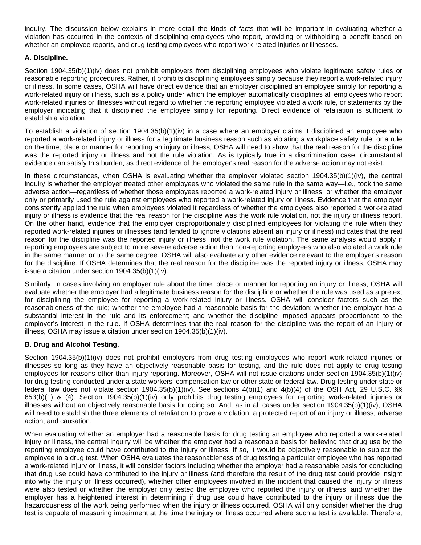inquiry. The discussion below explains in more detail the kinds of facts that will be important in evaluating whether a violation has occurred in the contexts of disciplining employees who report, providing or withholding a benefit based on whether an employee reports, and drug testing employees who report work-related injuries or illnesses.

### **A. Discipline.**

Section 1904.35(b)(1)(iv) does not prohibit employers from disciplining employees who violate legitimate safety rules or reasonable reporting procedures. Rather, it prohibits disciplining employees simply because they report a work-related injury or illness. In some cases, OSHA will have direct evidence that an employer disciplined an employee simply for reporting a work-related injury or illness, such as a policy under which the employer automatically disciplines all employees who report work-related injuries or illnesses without regard to whether the reporting employee violated a work rule, or statements by the employer indicating that it disciplined the employee simply for reporting. Direct evidence of retaliation is sufficient to establish a violation.

To establish a violation of section 1904.35(b)(1)(iv) in a case where an employer claims it disciplined an employee who reported a work-related injury or illness for a legitimate business reason such as violating a workplace safety rule, or a rule on the time, place or manner for reporting an injury or illness, OSHA will need to show that the real reason for the discipline was the reported injury or illness and not the rule violation. As is typically true in a discrimination case, circumstantial evidence can satisfy this burden, as direct evidence of the employer's real reason for the adverse action may not exist.

In these circumstances, when OSHA is evaluating whether the employer violated section 1904.35(b)(1)(iv), the central inquiry is whether the employer treated other employees who violated the same rule in the same way—i.e., took the same adverse action—regardless of whether those employees reported a work-related injury or illness, or whether the employer only or primarily used the rule against employees who reported a work-related injury or illness. Evidence that the employer consistently applied the rule when employees violated it regardless of whether the employees also reported a work-related injury or illness is evidence that the real reason for the discipline was the work rule violation, not the injury or illness report. On the other hand, evidence that the employer disproportionately disciplined employees for violating the rule when they reported work-related injuries or illnesses (and tended to ignore violations absent an injury or illness) indicates that the real reason for the discipline was the reported injury or illness, not the work rule violation. The same analysis would apply if reporting employees are subject to more severe adverse action than non-reporting employees who also violated a work rule in the same manner or to the same degree. OSHA will also evaluate any other evidence relevant to the employer's reason for the discipline. If OSHA determines that the real reason for the discipline was the reported injury or illness, OSHA may issue a citation under section 1904.35(b)(1)(iv).

Similarly, in cases involving an employer rule about the time, place or manner for reporting an injury or illness, OSHA will evaluate whether the employer had a legitimate business reason for the discipline or whether the rule was used as a pretext for disciplining the employee for reporting a work-related injury or illness. OSHA will consider factors such as the reasonableness of the rule; whether the employee had a reasonable basis for the deviation; whether the employer has a substantial interest in the rule and its enforcement; and whether the discipline imposed appears proportionate to the employer's interest in the rule. If OSHA determines that the real reason for the discipline was the report of an injury or illness, OSHA may issue a citation under section 1904.35(b)(1)(iv).

## **B. Drug and Alcohol Testing.**

Section 1904.35(b)(1)(iv) does not prohibit employers from drug testing employees who report work-related injuries or illnesses so long as they have an objectively reasonable basis for testing, and the rule does not apply to drug testing employees for reasons other than injury-reporting. Moreover, OSHA will not issue citations under section 1904.35(b)(1)(iv) for drug testing conducted under a state workers' compensation law or other state or federal law. Drug testing under state or federal law does not violate section 1904.35(b)(1)(iv). See sections  $4(b)(1)$  and  $4(b)(4)$  of the OSH Act, 29 U.S.C. §§ 653(b)(1) & (4). Section 1904.35(b)(1)(iv) only prohibits drug testing employees for reporting work-related injuries or illnesses without an objectively reasonable basis for doing so. And, as in all cases under section 1904.35(b)(1)(iv), OSHA will need to establish the three elements of retaliation to prove a violation: a protected report of an injury or illness; adverse action; and causation.

When evaluating whether an employer had a reasonable basis for drug testing an employee who reported a work-related injury or illness, the central inquiry will be whether the employer had a reasonable basis for believing that drug use by the reporting employee could have contributed to the injury or illness. If so, it would be objectively reasonable to subject the employee to a drug test. When OSHA evaluates the reasonableness of drug testing a particular employee who has reported a work-related injury or illness, it will consider factors including whether the employer had a reasonable basis for concluding that drug use could have contributed to the injury or illness (and therefore the result of the drug test could provide insight into why the injury or illness occurred), whether other employees involved in the incident that caused the injury or illness were also tested or whether the employer only tested the employee who reported the injury or illness, and whether the employer has a heightened interest in determining if drug use could have contributed to the injury or illness due the hazardousness of the work being performed when the injury or illness occurred. OSHA will only consider whether the drug test is capable of measuring impairment at the time the injury or illness occurred where such a test is available. Therefore,